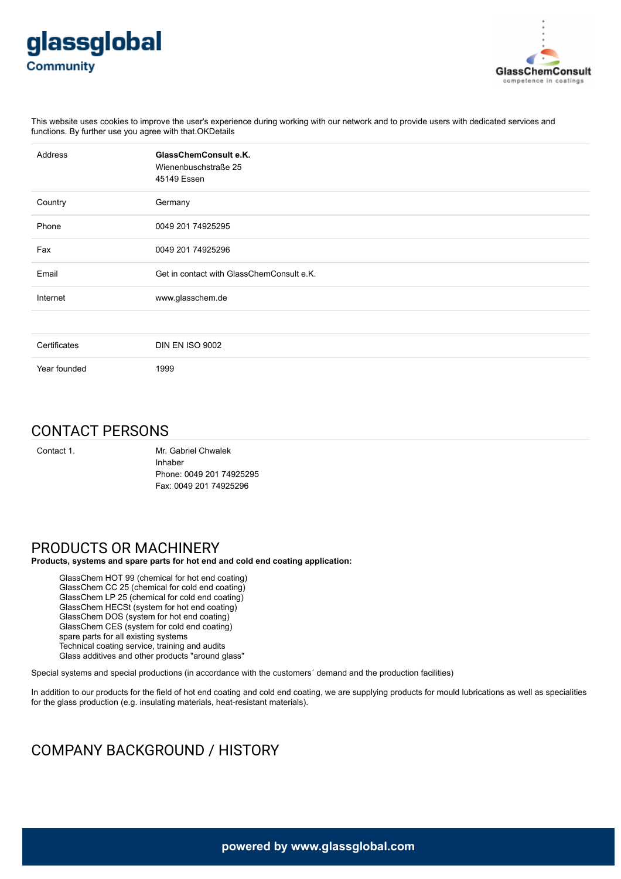



This website uses cookies to improve the user's experience during working with our network and to provide users with dedicated services and functions. By further use you agree with that.OKDetails

| Address      | GlassChemConsult e.K.<br>Wienenbuschstraße 25<br>45149 Essen |
|--------------|--------------------------------------------------------------|
| Country      | Germany                                                      |
| Phone        | 0049 201 74925295                                            |
| Fax          | 0049 201 74925296                                            |
| Email        | Get in contact with GlassChemConsult e.K.                    |
| Internet     | www.glasschem.de                                             |
|              |                                                              |
| Certificates | <b>DIN EN ISO 9002</b>                                       |
| Year founded | 1999                                                         |

## CONTACT PERSONS

Contact 1. Mr. Gabriel Chwalek Inhaber Phone: 0049 201 74925295 Fax: 0049 201 74925296

## PRODUCTS OR MACHINERY

**Products, systems and spare parts for hot end and cold end coating application:**

GlassChem HOT 99 (chemical for hot end coating) GlassChem CC 25 (chemical for cold end coating) GlassChem LP 25 (chemical for cold end coating) GlassChem HECSt (system for hot end coating) GlassChem DOS (system for hot end coating) GlassChem CES (system for cold end coating) spare parts for all existing systems Technical coating service, training and audits Glass additives and other products "around glass"

Special systems and special productions (in accordance with the customers´ demand and the production facilities)

In addition to our products for the field of hot end coating and cold end coating, we are supplying products for mould lubrications as well as specialities for the glass production (e.g. insulating materials, heat-resistant materials).

# COMPANY BACKGROUND / HISTORY